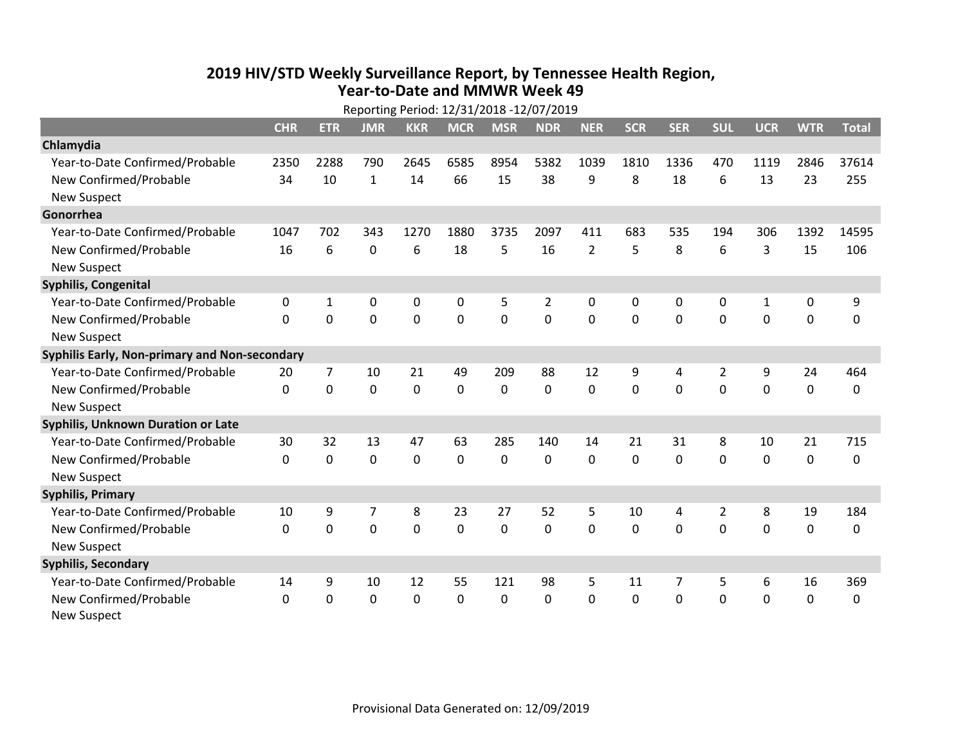## **2019 HIV /STD Weekly Surveillance Report, by Tennessee Health Region, Year‐to‐Date and MMWR Week 49**

|                                               | Reporting Period: 12/31/2018 -12/07/2019 |                |                |             |             |                |                |                |              |             |                |              |             |              |
|-----------------------------------------------|------------------------------------------|----------------|----------------|-------------|-------------|----------------|----------------|----------------|--------------|-------------|----------------|--------------|-------------|--------------|
|                                               | <b>CHR</b>                               | <b>ETR</b>     | <b>JMR</b>     | <b>KKR</b>  | <b>MCR</b>  | <b>MSR</b>     | <b>NDR</b>     | <b>NER</b>     | <b>SCR</b>   | <b>SER</b>  | <b>SUL</b>     | <b>UCR</b>   | <b>WTR</b>  | <b>Total</b> |
| Chlamydia                                     |                                          |                |                |             |             |                |                |                |              |             |                |              |             |              |
| Year-to-Date Confirmed/Probable               | 2350                                     | 2288           | 790            | 2645        | 6585        | 8954           | 5382           | 1039           | 1810         | 1336        | 470            | 1119         | 2846        | 37614        |
| New Confirmed/Probable                        | 34                                       | 10             | 1              | 14          | 66          | 15             | 38             | 9              | 8            | 18          | 6              | 13           | 23          | 255          |
| <b>New Suspect</b>                            |                                          |                |                |             |             |                |                |                |              |             |                |              |             |              |
| Gonorrhea                                     |                                          |                |                |             |             |                |                |                |              |             |                |              |             |              |
| Year-to-Date Confirmed/Probable               | 1047                                     | 702            | 343            | 1270        | 1880        | 3735           | 2097           | 411            | 683          | 535         | 194            | 306          | 1392        | 14595        |
| New Confirmed/Probable                        | 16                                       | 6              | 0              | 6           | 18          | 5              | 16             | $\overline{2}$ | 5            | 8           | 6              | 3            | 15          | 106          |
| <b>New Suspect</b>                            |                                          |                |                |             |             |                |                |                |              |             |                |              |             |              |
| <b>Syphilis, Congenital</b>                   |                                          |                |                |             |             |                |                |                |              |             |                |              |             |              |
| Year-to-Date Confirmed/Probable               | 0                                        | 1              | $\mathbf 0$    | 0           | 0           | 5              | $\overline{2}$ | $\mathbf 0$    | 0            | 0           | $\mathbf 0$    | $\mathbf{1}$ | $\pmb{0}$   | 9            |
| New Confirmed/Probable                        | $\Omega$                                 | 0              | $\mathbf 0$    | 0           | $\mathbf 0$ | $\overline{0}$ | 0              | $\mathbf 0$    | $\mathbf{0}$ | 0           | 0              | 0            | $\mathbf 0$ | 0            |
| <b>New Suspect</b>                            |                                          |                |                |             |             |                |                |                |              |             |                |              |             |              |
| Syphilis Early, Non-primary and Non-secondary |                                          |                |                |             |             |                |                |                |              |             |                |              |             |              |
| Year-to-Date Confirmed/Probable               | 20                                       | $\overline{7}$ | 10             | 21          | 49          | 209            | 88             | 12             | 9            | 4           | $\overline{2}$ | 9            | 24          | 464          |
| New Confirmed/Probable                        | 0                                        | $\mathbf 0$    | $\mathbf 0$    | $\mathbf 0$ | $\mathbf 0$ | $\mathbf 0$    | 0              | $\mathbf 0$    | 0            | $\mathbf 0$ | $\mathbf 0$    | $\mathbf 0$  | $\mathbf 0$ | 0            |
| <b>New Suspect</b>                            |                                          |                |                |             |             |                |                |                |              |             |                |              |             |              |
| <b>Syphilis, Unknown Duration or Late</b>     |                                          |                |                |             |             |                |                |                |              |             |                |              |             |              |
| Year-to-Date Confirmed/Probable               | 30                                       | 32             | 13             | 47          | 63          | 285            | 140            | 14             | 21           | 31          | 8              | 10           | 21          | 715          |
| New Confirmed/Probable                        | $\Omega$                                 | $\mathbf 0$    | $\mathbf 0$    | 0           | $\mathbf 0$ | 0              | 0              | $\Omega$       | $\Omega$     | 0           | 0              | 0            | $\mathbf 0$ | 0            |
| <b>New Suspect</b>                            |                                          |                |                |             |             |                |                |                |              |             |                |              |             |              |
| <b>Syphilis, Primary</b>                      |                                          |                |                |             |             |                |                |                |              |             |                |              |             |              |
| Year-to-Date Confirmed/Probable               | 10                                       | 9              | $\overline{7}$ | 8           | 23          | 27             | 52             | 5              | 10           | 4           | $\overline{2}$ | 8            | 19          | 184          |
| New Confirmed/Probable                        | $\mathbf{0}$                             | 0              | 0              | 0           | $\mathbf 0$ | $\mathbf 0$    | 0              | $\Omega$       | $\mathbf{0}$ | 0           | 0              | 0            | 0           | 0            |
| <b>New Suspect</b>                            |                                          |                |                |             |             |                |                |                |              |             |                |              |             |              |
| <b>Syphilis, Secondary</b>                    |                                          |                |                |             |             |                |                |                |              |             |                |              |             |              |
| Year-to-Date Confirmed/Probable               | 14                                       | 9              | 10             | 12          | 55          | 121            | 98             | 5              | 11           | 7           | 5              | 6            | 16          | 369          |
| New Confirmed/Probable                        | $\mathbf 0$                              | 0              | 0              | 0           | $\mathbf 0$ | $\mathbf 0$    | 0              | $\mathbf 0$    | $\mathbf{0}$ | 0           | 0              | 0            | $\mathbf 0$ | 0            |
| <b>New Suspect</b>                            |                                          |                |                |             |             |                |                |                |              |             |                |              |             |              |